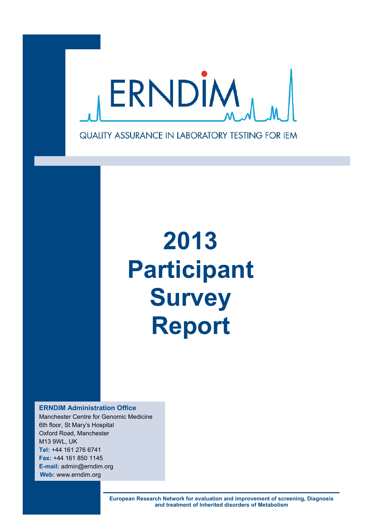

# **2013 Participant Survey Report**

**ERNDIM Administration Office** Manchester Centre for Genomic Medicine 6th floor, St Mary's Hospital Oxford Road, Manchester M13 9WL, UK **Tel:** +44 161 276 6741 **Fax:** +44 161 850 1145 **E-mail:** admin@erndim.org **Web:** www.erndim.org

> **European Research Network for evaluation and improvement of screening, Diagnosis and treatment of Inherited disorders of Metabolism**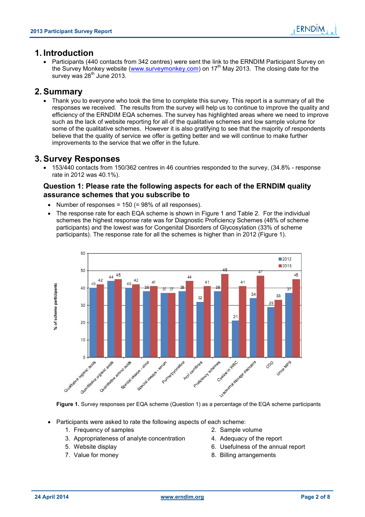# **1. Introduction**

 Participants (440 contacts from 342 centres) were sent the link to the ERNDIM Participant Survey on the Survey Monkey website (www.surveymonkey.com) on 17th May 2013. The closing date for the survey was  $28<sup>th</sup>$  June 2013.

# **2. Summary**

 Thank you to everyone who took the time to complete this survey. This report is a summary of all the responses we received. The results from the survey will help us to continue to improve the quality and efficiency of the ERNDIM EQA schemes. The survey has highlighted areas where we need to improve such as the lack of website reporting for all of the qualitative schemes and low sample volume for some of the qualitative schemes. However it is also gratifying to see that the majority of respondents believe that the quality of service we offer is getting better and we will continue to make further improvements to the service that we offer in the future.

# **3. Survey Responses**

 153/440 contacts from 150/362 centres in 46 countries responded to the survey, (34.8% - response rate in 2012 was 40.1%).

# **Question 1: Please rate the following aspects for each of the ERNDIM quality assurance schemes that you subscribe to**

- Number of responses =  $150$  (=  $98\%$  of all responses).
- The response rate for each EQA scheme is shown in Figure 1 and Table 2. For the individual schemes the highest response rate was for Diagnostic Proficiency Schemes (48% of scheme participants) and the lowest was for Congenital Disorders of Glycosylation (33% of scheme participants). The response rate for all the schemes is higher than in 2012 (Figure 1).



**Figure 1.** Survey responses per EQA scheme (Question 1) as a percentage of the EQA scheme participants

- Participants were asked to rate the following aspects of each scheme:
	- 1. Frequency of samples 2. Sample volume
	- 3. Appropriateness of analyte concentration 4. Adequacy of the report
	-
	-
- 
- 
- 5. Website display 6. Usefulness of the annual report
- 7. Value for money and the same state of the S. Billing arrangements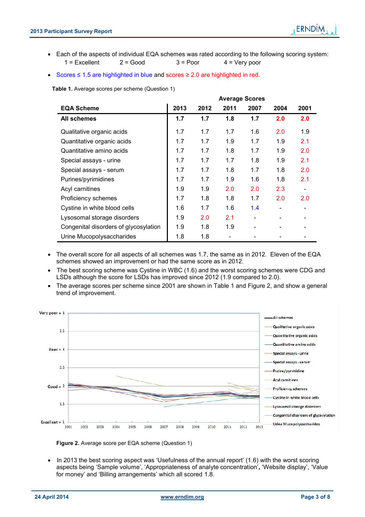- Each of the aspects of individual EQA schemes was rated according to the following scoring system:  $1 =$  Excellent  $2 =$  Good  $3 =$  Poor  $4 =$  Very poor
- Scores ≤ 1.5 are highlighted in blue and scores ≥ 2.0 are highlighted in red.

**Table 1.** Average scores per scheme (Question 1)

|                                       | <b>Average Scores</b> |      |      |      |      |      |  |
|---------------------------------------|-----------------------|------|------|------|------|------|--|
| <b>EQA Scheme</b>                     | 2013                  | 2012 | 2011 | 2007 | 2004 | 2001 |  |
| All schemes                           | 1.7                   | 1.7  | 1.8  | 1.7  | 2.0  | 2.0  |  |
| Qualitative organic acids             | 1.7                   | 1.7  | 1.7  | 1.6  | 2.0  | 1.9  |  |
| Quantitative organic acids            | 1.7                   | 1.7  | 1.9  | 1.7  | 1.9  | 2.1  |  |
| Quantitative amino acids              | 1.7                   | 1.7  | 1.8  | 1.7  | 1.9  | 2.0  |  |
| Special assays - urine                | 1.7                   | 1.7  | 1.7  | 1.8  | 1.9  | 2.1  |  |
| Special assays - serum                | 1.7                   | 1.7  | 1.8  | 1.7  | 1.8  | 2.0  |  |
| Purines/pyrimidines                   | 1.7                   | 1.7  | 1.9  | 1.6  | 1.8  | 2.1  |  |
| Acyl carnitines                       | 1.9                   | 1.9  | 2.0  | 2.0  | 2.3  |      |  |
| Proficiency schemes                   | 1.7                   | 1.8  | 1.8  | 1.7  | 2.0  | 2.0  |  |
| Cystine in white blood cells          | 1.6                   | 1.7  | 1.6  | 1.4  |      |      |  |
| Lysosomal storage disorders           | 1.9                   | 2.0  | 2.1  |      |      |      |  |
| Congenital disorders of glycosylation | 1.9                   | 1.8  | 1.9  |      |      |      |  |
| Urine Mucopolysaccharides             | 1.8                   | 1.8  |      |      |      |      |  |

- The overall score for all aspects of all schemes was 1.7, the same as in 2012. Eleven of the EQA schemes showed an improvement or had the same score as in 2012.
- The best scoring scheme was Cystine in WBC (1.6) and the worst scoring schemes were CDG and LSDs although the score for LSDs has improved since 2012 (1.9 compared to 2.0).
- The average scores per scheme since 2001 are shown in Table 1 and Figure 2, and show a general trend of improvement.



**Figure 2.** Average score per EQA scheme (Question 1)

 In 2013 the best scoring aspect was 'Usefulness of the annual report' (1.6) with the worst scoring aspects being 'Sample volume', 'Appropriateness of analyte concentration'**,** 'Website display', 'Value for money' and 'Billing arrangements' which all scored 1.8.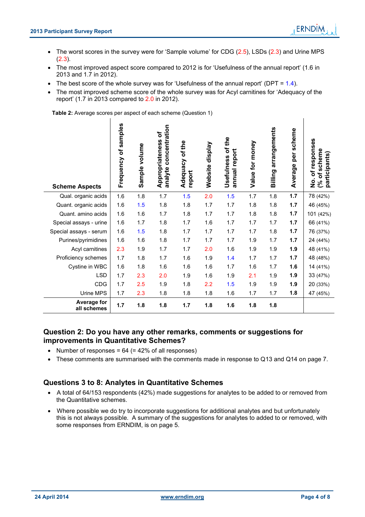$\mathbf{I}$ 

- The worst scores in the survey were for 'Sample volume' for CDG (2.5), LSDs (2.3) and Urine MPS (2.3).
- The most improved aspect score compared to 2012 is for 'Usefulness of the annual report' (1.6 in 2013 and 1.7 in 2012).
- The best score of the whole survey was for 'Usefulness of the annual report' ( $DPT = 1.4$ ).
- The most improved scheme score of the whole survey was for Acyl carnitines for 'Adequacy of the report' (1.7 in 2013 compared to 2.0 in 2012).

**Table 2:** Average scores per aspect of each scheme (Question 1)

 $\overline{\phantom{a}}$ 

| <b>Scheme Aspects</b>      | samples<br>Frequency of | Sample volume | concentration<br>Ⴆ<br>Appropriateness<br>analyte | Adequacy of the<br>report | Website display | Usefulness of the<br>annual report | Value for money | arrangements<br>Billing | per scheme<br>Average | of responses<br>% of scheme<br>participants<br>$\frac{1}{2}$ |
|----------------------------|-------------------------|---------------|--------------------------------------------------|---------------------------|-----------------|------------------------------------|-----------------|-------------------------|-----------------------|--------------------------------------------------------------|
| Qual. organic acids        | 1.6                     | 1.8           | 1.7                                              | 1.5                       | 2.0             | 1.5                                | 1.7             | 1.8                     | 1.7                   | 78 (42%)                                                     |
| Quant. organic acids       | 1.6                     | 1.5           | 1.8                                              | 1.8                       | 1.7             | 1.7                                | 1.8             | 1.8                     | 1.7                   | 46 (45%)                                                     |
| Quant. amino acids         | 1.6                     | 1.6           | 1.7                                              | 1.8                       | 1.7             | 1.7                                | 1.8             | 1.8                     | 1.7                   | 101 (42%)                                                    |
| Special assays - urine     | 1.6                     | 1.7           | 1.8                                              | 1.7                       | 1.6             | 1.7                                | 1.7             | 1.7                     | 1.7                   | 66 (41%)                                                     |
| Special assays - serum     | 1.6                     | 1.5           | 1.8                                              | 1.7                       | 1.7             | 1.7                                | 1.7             | 1.8                     | 1.7                   | 76 (37%)                                                     |
| Purines/pyrimidines        | 1.6                     | 1.6           | 1.8                                              | 1.7                       | 1.7             | 1.7                                | 1.9             | 1.7                     | 1.7                   | 24 (44%)                                                     |
| Acyl carnitines            | 2.3                     | 1.9           | 1.7                                              | 1.7                       | 2.0             | 1.6                                | 1.9             | 1.9                     | 1.9                   | 48 (41%)                                                     |
| Proficiency schemes        | 1.7                     | 1.8           | 1.7                                              | 1.6                       | 1.9             | 1.4                                | 1.7             | 1.7                     | 1.7                   | 48 (48%)                                                     |
| Cystine in WBC             | 1.6                     | 1.8           | 1.6                                              | 1.6                       | 1.6             | 1.7                                | 1.6             | 1.7                     | 1.6                   | 14 (41%)                                                     |
| <b>LSD</b>                 | 1.7                     | 2.3           | 2.0                                              | 1.9                       | 1.6             | 1.9                                | 2.1             | 1.9                     | 1.9                   | 33 (47%)                                                     |
| CDG                        | 1.7                     | 2.5           | 1.9                                              | 1.8                       | 2.2             | 1.5                                | 1.9             | 1.9                     | 1.9                   | 20 (33%)                                                     |
| Urine MPS                  | 1.7                     | 2.3           | 1.8                                              | 1.8                       | 1.8             | 1.6                                | 1.7             | 1.7                     | 1.8                   | 47 (45%)                                                     |
| Average for<br>all schemes | 1.7                     | 1.8           | 1.8                                              | 1.7                       | 1.8             | 1.6                                | 1.8             | 1.8                     |                       |                                                              |

# **Question 2: Do you have any other remarks, comments or suggestions for improvements in Quantitative Schemes?**

- Number of responses =  $64$  (=  $42\%$  of all responses)
- These comments are summarised with the comments made in response to Q13 and Q14 on page 7.

# **Questions 3 to 8: Analytes in Quantitative Schemes**

- A total of 64/153 respondents (42%) made suggestions for analytes to be added to or removed from the Quantitative schemes.
- Where possible we do try to incorporate suggestions for additional analytes and but unfortunately this is not always possible. A summary of the suggestions for analytes to added to or removed, with some responses from ERNDIM, is on page 5.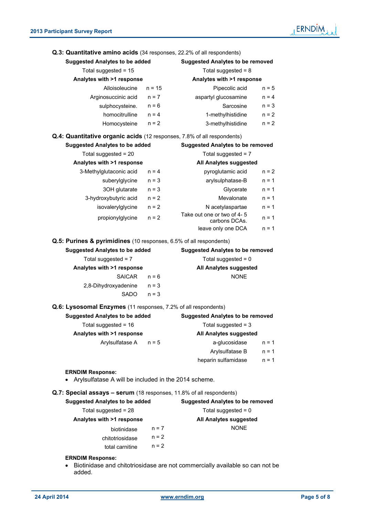

| Q.3: Quantitative amino acids (34 responses, 22.2% of all respondents)  |                                         |                                             |         |  |  |
|-------------------------------------------------------------------------|-----------------------------------------|---------------------------------------------|---------|--|--|
| <b>Suggested Analytes to be added</b>                                   | <b>Suggested Analytes to be removed</b> |                                             |         |  |  |
| Total suggested = 15                                                    | Total suggested = $8$                   |                                             |         |  |  |
| Analytes with >1 response                                               |                                         | Analytes with >1 response                   |         |  |  |
| Alloisoleucine                                                          | $n = 15$                                | Pipecolic acid                              | $n = 5$ |  |  |
| Arginosuccinic acid                                                     | $n = 7$                                 | aspartyl glucosamine                        | $n = 4$ |  |  |
| sulphocysteine.                                                         | $n = 6$                                 | Sarcosine                                   | $n = 3$ |  |  |
| homocitrulline                                                          | $n = 4$                                 | 1-methylhistidine                           | $n = 2$ |  |  |
| Homocysteine                                                            | $n = 2$                                 | 3-methylhistidine                           | $n = 2$ |  |  |
| Q.4: Quantitative organic acids (12 responses, 7.8% of all respondents) |                                         |                                             |         |  |  |
| <b>Suggested Analytes to be added</b>                                   |                                         | <b>Suggested Analytes to be removed</b>     |         |  |  |
| Total suggested = 20                                                    |                                         | Total suggested = $7$                       |         |  |  |
| Analytes with >1 response                                               |                                         | All Analytes suggested                      |         |  |  |
| 3-Methylglutaconic acid                                                 | $n = 4$                                 | pyroglutamic acid                           | $n = 2$ |  |  |
| suberylglycine                                                          | $n = 3$                                 | arylsulphatase-B                            | $n = 1$ |  |  |
| 3OH glutarate                                                           | $n = 3$                                 | Glycerate                                   | $n = 1$ |  |  |
| 3-hydroxybutyric acid                                                   | $n = 2$                                 | Mevalonate                                  | $n = 1$ |  |  |
| isovalerylglycine                                                       | $n = 2$                                 | N acetylaspartae                            | $n = 1$ |  |  |
| propionylglycine                                                        | $n = 2$                                 | Take out one or two of 4-5<br>carbons DCAs. | $n = 1$ |  |  |
|                                                                         |                                         | leave only one DCA                          | $n = 1$ |  |  |
| Q.5: Purines & pyrimidines (10 responses, 6.5% of all respondents)      |                                         |                                             |         |  |  |
| <b>Suggested Analytes to be added</b>                                   |                                         | <b>Suggested Analytes to be removed</b>     |         |  |  |
| Total suggested = $7$                                                   |                                         | Total suggested = $0$                       |         |  |  |
| Analytes with >1 response                                               |                                         | All Analytes suggested                      |         |  |  |
| <b>SAICAR</b>                                                           | $n = 6$                                 | <b>NONE</b>                                 |         |  |  |
|                                                                         |                                         |                                             |         |  |  |
| 2,8-Dihydroxyadenine                                                    | $n = 3$                                 |                                             |         |  |  |
| <b>SADO</b>                                                             | $n = 3$                                 |                                             |         |  |  |
| Q.6: Lysosomal Enzymes (11 responses, 7.2% of all respondents)          |                                         |                                             |         |  |  |
| <b>Suggested Analytes to be added</b>                                   |                                         | <b>Suggested Analytes to be removed</b>     |         |  |  |
| Total suggested = 16                                                    |                                         | Total suggested = 3                         |         |  |  |
| Analytes with >1 response                                               |                                         | All Analytes suggested                      |         |  |  |
| Arylsulfatase A                                                         | $n = 5$                                 | a-glucosidase                               | $n = 1$ |  |  |
|                                                                         |                                         | Arylsulfatase B                             | $n = 1$ |  |  |
|                                                                         |                                         | heparin sulfamidase                         | $n = 1$ |  |  |
| <b>ERNDIM Response:</b>                                                 |                                         |                                             |         |  |  |
| Arylsulfatase A will be included in the 2014 scheme.                    |                                         |                                             |         |  |  |
| Q.7: Special assays - serum (18 responses, 11.8% of all respondents)    |                                         |                                             |         |  |  |
| <b>Suggested Analytes to be added</b>                                   |                                         | <b>Suggested Analytes to be removed</b>     |         |  |  |
| Total suggested = 28                                                    |                                         | Total suggested = $0$                       |         |  |  |
| Analytes with >1 response                                               |                                         | All Analytes suggested                      |         |  |  |
| biotinidase                                                             | $n = 7$                                 | <b>NONE</b>                                 |         |  |  |
| chitotriosidase                                                         | $n = 2$                                 |                                             |         |  |  |

# **ERNDIM Response:**

 Biotinidase and chitotriosidase are not commercially available so can not be added.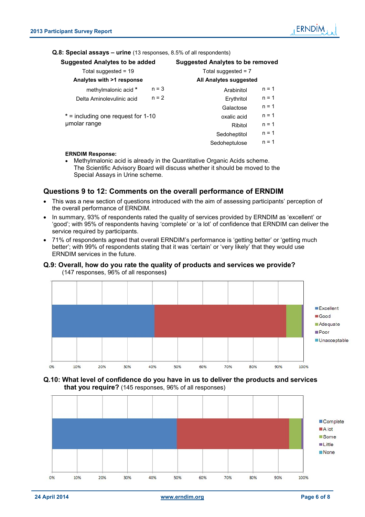# **Q.8: Special assays – urine** (13 responses, 8.5% of all respondents)

| <b>Suggested Analytes to be added</b> |         | Suggested Analytes to be removed |         |  |  |
|---------------------------------------|---------|----------------------------------|---------|--|--|
| Total suggested $= 19$                |         | Total suggested $= 7$            |         |  |  |
| Analytes with >1 response             |         | <b>All Analytes suggested</b>    |         |  |  |
| methylmalonic acid *                  | $n = 3$ | Arabinitol                       | $n = 1$ |  |  |
| Delta Aminolevulinic acid             | $n = 2$ | Erythritol                       | $n = 1$ |  |  |
|                                       |         | Galactose                        | $n = 1$ |  |  |
| $*$ = including one request for 1-10  |         | oxalic acid                      | $n = 1$ |  |  |
| umolar range                          |         | Ribitol                          | $n = 1$ |  |  |
|                                       |         | Sedoheptitol                     | $n = 1$ |  |  |
|                                       |         | Sedoheptulose                    | $n = 1$ |  |  |
| <b>ERNDIM Response:</b>               |         |                                  |         |  |  |

 Methylmalonic acid is already in the Quantitative Organic Acids scheme. The Scientific Advisory Board will discuss whether it should be moved to the Special Assays in Urine scheme.

# **Questions 9 to 12: Comments on the overall performance of ERNDIM**

- This was a new section of questions introduced with the aim of assessing participants' perception of the overall performance of ERNDIM.
- In summary, 93% of respondents rated the quality of services provided by ERNDIM as 'excellent' or 'good'; with 95% of respondents having 'complete' or 'a lot' of confidence that ERNDIM can deliver the service required by participants.
- 71% of respondents agreed that overall ERNDIM's performance is 'getting better' or 'getting much better'; with 99% of respondents stating that it was 'certain' or 'very likely' that they would use ERNDIM services in the future.

# **Q.9: Overall, how do you rate the quality of products and services we provide?** (147 responses, 96% of all responses**)**



# **Q.10: What level of confidence do you have in us to deliver the products and services that you require?** (145 responses, 96% of all responses)

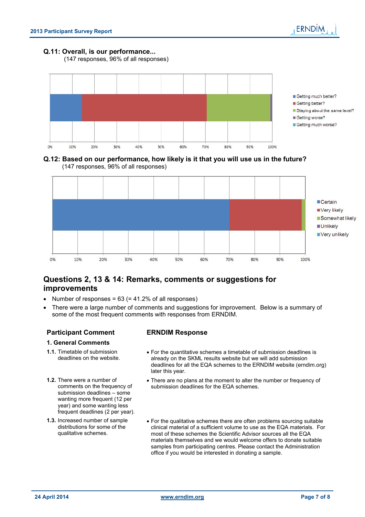

#### **Q.11: Overall, is our performance...**

(147 responses, 96% of all responses)



**Q.12: Based on our performance, how likely is it that you will use us in the future?** (147 responses, 96% of all responses)



# **Questions 2, 13 & 14: Remarks, comments or suggestions for improvements**

- Number of responses =  $63$  (=  $41.2\%$  of all responses)
- There were a large number of comments and suggestions for improvement. Below is a summary of some of the most frequent comments with responses from ERNDIM.

# **Participant Comment ERNDIM Response**

#### **1. General Comments**

- **1.1.** Timetable of submission deadlines on the website.
- **1.2.** There were a number of comments on the frequency of submission deadlines – some wanting more frequent (12 per year) and some wanting less frequent deadlines (2 per year).
- **1.3.** Increased number of sample distributions for some of the qualitative schemes.

- For the quantitative schemes a timetable of submission deadlines is already on the SKML results website but we will add submission deadlines for all the EQA schemes to the ERNDIM website (erndim.org) later this year.
- There are no plans at the moment to alter the number or frequency of submission deadlines for the EQA schemes.
- For the qualitative schemes there are often problems sourcing suitable clinical material of a sufficient volume to use as the EQA materials. For most of these schemes the Scientific Advisor sources all the EQA materials themselves and we would welcome offers to donate suitable samples from participating centres. Please contact the Administration office if you would be interested in donating a sample.